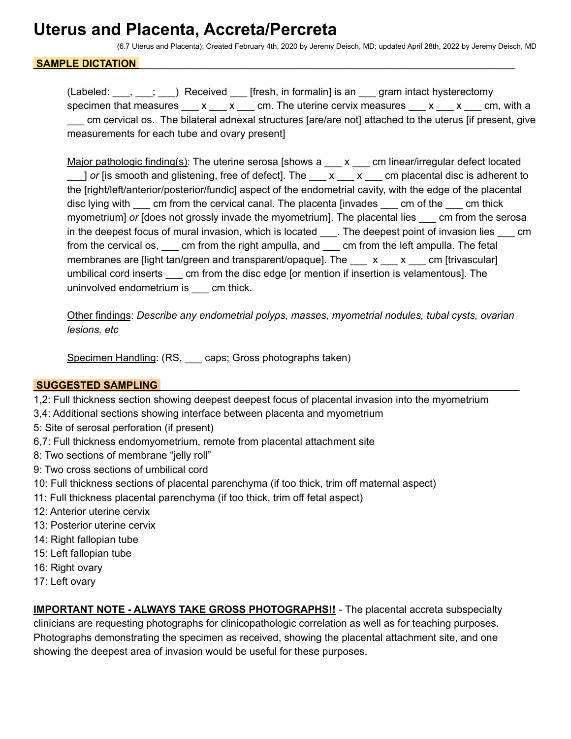## **Uterus and Placenta, Accreta/Percreta**

(6.7 Uterus and Placenta); Created February 4th, 2020 by Jeremy Deisch, MD; updated April 28th, 2022 by Jeremy Deisch, MD

#### SAMPLE DICTATION

(Labeled: \_\_\_, \_\_\_; \_\_\_) Received \_\_\_ [fresh, in formalin] is an \_\_\_ gram intact hysterectomy specimen that measures  $\begin{array}{ccc} x & x & \text{cm} \\ x & x & \text{cm} \end{array}$  The uterine cervix measures  $\begin{array}{ccc} x & x & \text{cm} \\ y & x & \text{cm} \end{array}$ \_\_\_ cm cervical os. The bilateral adnexal structures [are/are not] attached to the uterus [if present, give measurements for each tube and ovary present]

Major pathologic finding(s): The uterine serosa [shows a \_\_\_ x \_\_\_ cm linear/irregular defect located 1 *or* [is smooth and glistening, free of defect]. The  $\overline{X}$  x  $\overline{X}$  cm placental disc is adherent to the [right/left/anterior/posterior/fundic] aspect of the endometrial cavity, with the edge of the placental disc lying with cm from the cervical canal. The placenta [invades cm of the cm thick myometrium] *or* [does not grossly invade the myometrium]. The placental lies \_\_\_ cm from the serosa in the deepest focus of mural invasion, which is located \_\_\_\_. The deepest point of invasion lies \_\_\_ cm from the cervical os, \_\_\_ cm from the right ampulla, and \_\_\_ cm from the left ampulla. The fetal membranes are [light tan/green and transparent/opaque]. The  $\_\_\ x \_\_\ x \_\_\_$ cm [trivascular] umbilical cord inserts cm from the disc edge [or mention if insertion is velamentous]. The uninvolved endometrium is \_\_\_ cm thick.

Other findings: *Describe any endometrial polyps, masses, myometrial nodules, tubal cysts, ovarian lesions, etc*

Specimen Handling: (RS, \_\_\_ caps; Gross photographs taken)

#### **SUGGESTED SAMPLING**

- 1,2: Full thickness section showing deepest deepest focus of placental invasion into the myometrium
- 3,4: Additional sections showing interface between placenta and myometrium
- 5: Site of serosal perforation (if present)
- 6,7: Full thickness endomyometrium, remote from placental attachment site
- 8: Two sections of membrane "jelly roll"
- 9: Two cross sections of umbilical cord
- 10: Full thickness sections of placental parenchyma (if too thick, trim off maternal aspect)
- 11: Full thickness placental parenchyma (if too thick, trim off fetal aspect)
- 12: Anterior uterine cervix
- 13: Posterior uterine cervix
- 14: Right fallopian tube
- 15: Left fallopian tube
- 16: Right ovary
- 17: Left ovary

**IMPORTANT NOTE - ALWAYS TAKE GROSS PHOTOGRAPHS!!** - The placental accreta subspecialty clinicians are requesting photographs for clinicopathologic correlation as well as for teaching purposes. Photographs demonstrating the specimen as received, showing the placental attachment site, and one showing the deepest area of invasion would be useful for these purposes.